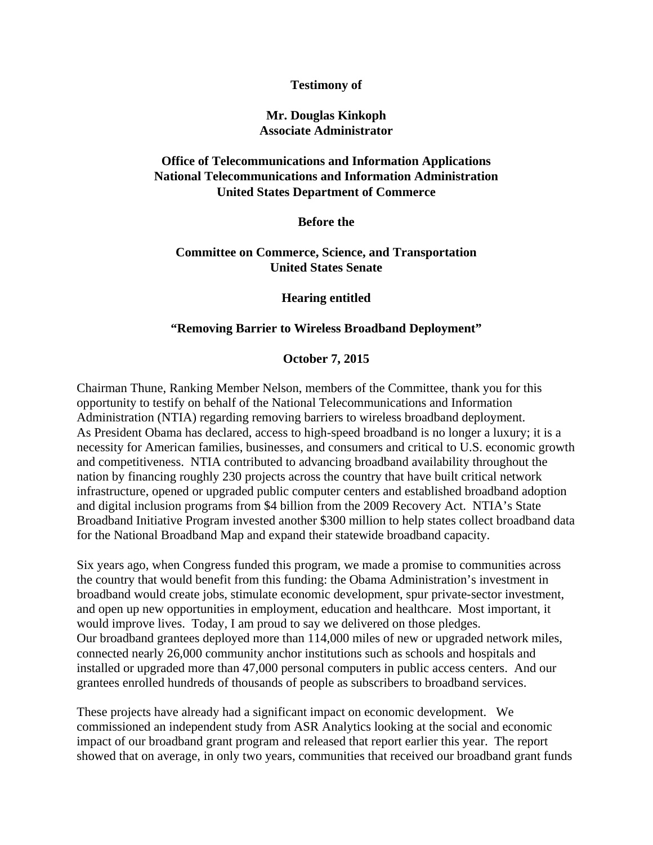#### **Testimony of**

## **Mr. Douglas Kinkoph Associate Administrator**

# **Office of Telecommunications and Information Applications National Telecommunications and Information Administration United States Department of Commerce**

**Before the**

### **Committee on Commerce, Science, and Transportation United States Senate**

#### **Hearing entitled**

### **"Removing Barrier to Wireless Broadband Deployment"**

#### **October 7, 2015**

Chairman Thune, Ranking Member Nelson, members of the Committee, thank you for this opportunity to testify on behalf of the National Telecommunications and Information Administration (NTIA) regarding removing barriers to wireless broadband deployment. As President Obama has declared, access to high-speed broadband is no longer a luxury; it is a necessity for American families, businesses, and consumers and critical to U.S. economic growth and competitiveness. NTIA contributed to advancing broadband availability throughout the nation by financing roughly 230 projects across the country that have built critical network infrastructure, opened or upgraded public computer centers and established broadband adoption and digital inclusion programs from \$4 billion from the 2009 Recovery Act. NTIA's State Broadband Initiative Program invested another \$300 million to help states collect broadband data for the National Broadband Map and expand their statewide broadband capacity.

Six years ago, when Congress funded this program, we made a promise to communities across the country that would benefit from this funding: the Obama Administration's investment in broadband would create jobs, stimulate economic development, spur private-sector investment, and open up new opportunities in employment, education and healthcare. Most important, it would improve lives. Today, I am proud to say we delivered on those pledges. Our broadband grantees deployed more than 114,000 miles of new or upgraded network miles, connected nearly 26,000 community anchor institutions such as schools and hospitals and installed or upgraded more than 47,000 personal computers in public access centers. And our grantees enrolled hundreds of thousands of people as subscribers to broadband services.

These projects have already had a significant impact on economic development. We commissioned an independent study from ASR Analytics looking at the social and economic impact of our broadband grant program and released that report earlier this year. The report showed that on average, in only two years, communities that received our broadband grant funds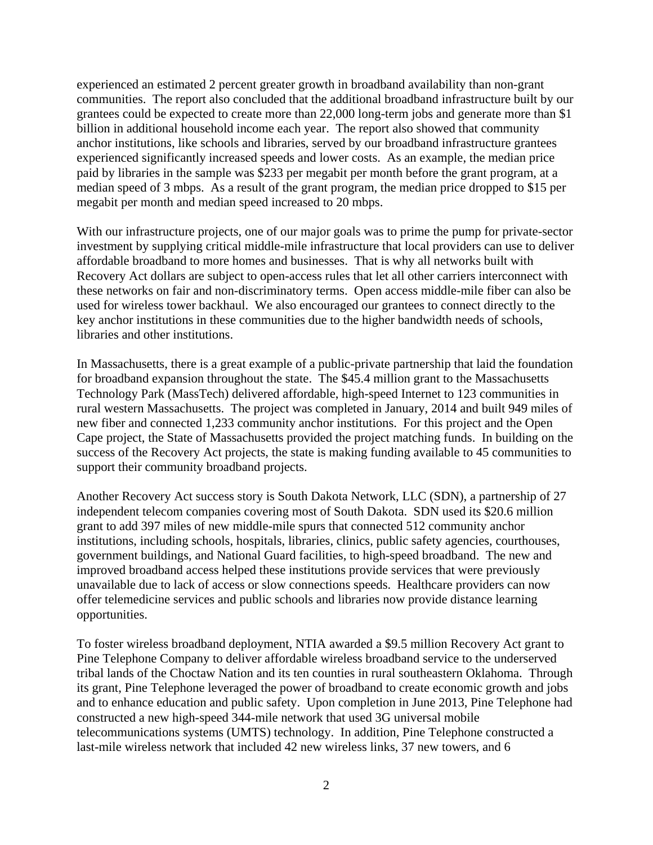experienced an estimated 2 percent greater growth in broadband availability than non-grant communities. The report also concluded that the additional broadband infrastructure built by our grantees could be expected to create more than 22,000 long-term jobs and generate more than \$1 billion in additional household income each year. The report also showed that community anchor institutions, like schools and libraries, served by our broadband infrastructure grantees experienced significantly increased speeds and lower costs. As an example, the median price paid by libraries in the sample was \$233 per megabit per month before the grant program, at a median speed of 3 mbps. As a result of the grant program, the median price dropped to \$15 per megabit per month and median speed increased to 20 mbps.

With our infrastructure projects, one of our major goals was to prime the pump for private-sector investment by supplying critical middle-mile infrastructure that local providers can use to deliver affordable broadband to more homes and businesses. That is why all networks built with Recovery Act dollars are subject to open-access rules that let all other carriers interconnect with these networks on fair and non-discriminatory terms. Open access middle-mile fiber can also be used for wireless tower backhaul. We also encouraged our grantees to connect directly to the key anchor institutions in these communities due to the higher bandwidth needs of schools, libraries and other institutions.

In Massachusetts, there is a great example of a public-private partnership that laid the foundation for broadband expansion throughout the state. The \$45.4 million grant to the Massachusetts Technology Park (MassTech) delivered affordable, high-speed Internet to 123 communities in rural western Massachusetts. The project was completed in January, 2014 and built 949 miles of new fiber and connected 1,233 community anchor institutions. For this project and the Open Cape project, the State of Massachusetts provided the project matching funds. In building on the success of the Recovery Act projects, the state is making funding available to 45 communities to support their community broadband projects.

Another Recovery Act success story is South Dakota Network, LLC (SDN), a partnership of 27 independent telecom companies covering most of South Dakota. SDN used its \$20.6 million grant to add 397 miles of new middle-mile spurs that connected 512 community anchor institutions, including schools, hospitals, libraries, clinics, public safety agencies, courthouses, government buildings, and National Guard facilities, to high-speed broadband. The new and improved broadband access helped these institutions provide services that were previously unavailable due to lack of access or slow connections speeds. Healthcare providers can now offer telemedicine services and public schools and libraries now provide distance learning opportunities.

To foster wireless broadband deployment, NTIA awarded a \$9.5 million Recovery Act grant to Pine Telephone Company to deliver affordable wireless broadband service to the underserved tribal lands of the Choctaw Nation and its ten counties in rural southeastern Oklahoma. Through its grant, Pine Telephone leveraged the power of broadband to create economic growth and jobs and to enhance education and public safety. Upon completion in June 2013, Pine Telephone had constructed a new high-speed 344-mile network that used 3G universal mobile telecommunications systems (UMTS) technology. In addition, Pine Telephone constructed a last-mile wireless network that included 42 new wireless links, 37 new towers, and 6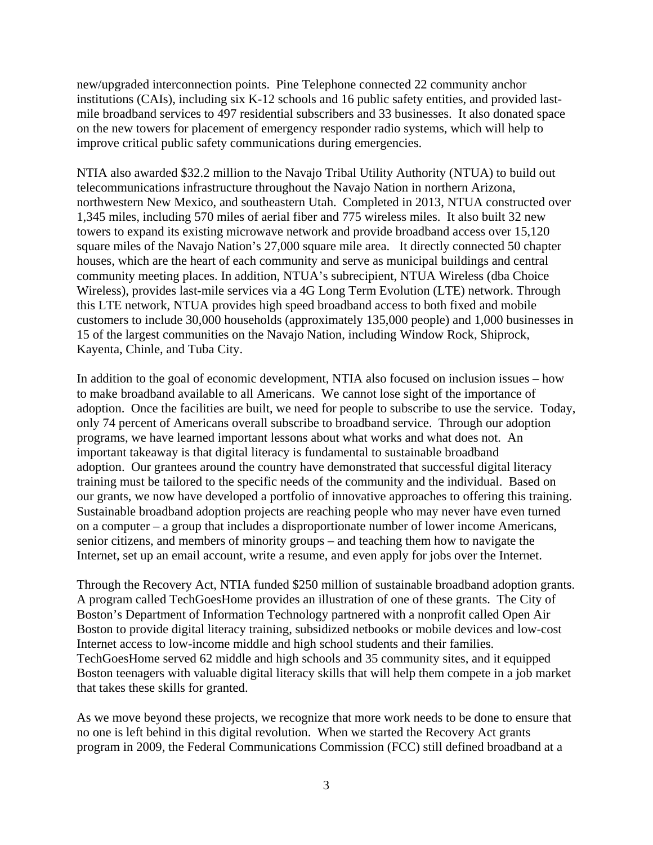new/upgraded interconnection points. Pine Telephone connected 22 community anchor institutions (CAIs), including six K-12 schools and 16 public safety entities, and provided lastmile broadband services to 497 residential subscribers and 33 businesses. It also donated space on the new towers for placement of emergency responder radio systems, which will help to improve critical public safety communications during emergencies.

NTIA also awarded \$32.2 million to the Navajo Tribal Utility Authority (NTUA) to build out telecommunications infrastructure throughout the Navajo Nation in northern Arizona, northwestern New Mexico, and southeastern Utah. Completed in 2013, NTUA constructed over 1,345 miles, including 570 miles of aerial fiber and 775 wireless miles. It also built 32 new towers to expand its existing microwave network and provide broadband access over 15,120 square miles of the Navajo Nation's 27,000 square mile area. It directly connected 50 chapter houses, which are the heart of each community and serve as municipal buildings and central community meeting places. In addition, NTUA's subrecipient, NTUA Wireless (dba Choice Wireless), provides last-mile services via a 4G Long Term Evolution (LTE) network. Through this LTE network, NTUA provides high speed broadband access to both fixed and mobile customers to include 30,000 households (approximately 135,000 people) and 1,000 businesses in 15 of the largest communities on the Navajo Nation, including Window Rock, Shiprock, Kayenta, Chinle, and Tuba City.

In addition to the goal of economic development, NTIA also focused on inclusion issues – how to make broadband available to all Americans. We cannot lose sight of the importance of adoption. Once the facilities are built, we need for people to subscribe to use the service. Today, only 74 percent of Americans overall subscribe to broadband service. Through our adoption programs, we have learned important lessons about what works and what does not. An important takeaway is that digital literacy is fundamental to sustainable broadband adoption. Our grantees around the country have demonstrated that successful digital literacy training must be tailored to the specific needs of the community and the individual. Based on our grants, we now have developed a portfolio of innovative approaches to offering this training. Sustainable broadband adoption projects are reaching people who may never have even turned on a computer – a group that includes a disproportionate number of lower income Americans, senior citizens, and members of minority groups – and teaching them how to navigate the Internet, set up an email account, write a resume, and even apply for jobs over the Internet.

Through the Recovery Act, NTIA funded \$250 million of sustainable broadband adoption grants. A program called TechGoesHome provides an illustration of one of these grants. The City of Boston's Department of Information Technology partnered with a nonprofit called Open Air Boston to provide digital literacy training, subsidized netbooks or mobile devices and low-cost Internet access to low-income middle and high school students and their families. TechGoesHome served 62 middle and high schools and 35 community sites, and it equipped Boston teenagers with valuable digital literacy skills that will help them compete in a job market that takes these skills for granted.

As we move beyond these projects, we recognize that more work needs to be done to ensure that no one is left behind in this digital revolution. When we started the Recovery Act grants program in 2009, the Federal Communications Commission (FCC) still defined broadband at a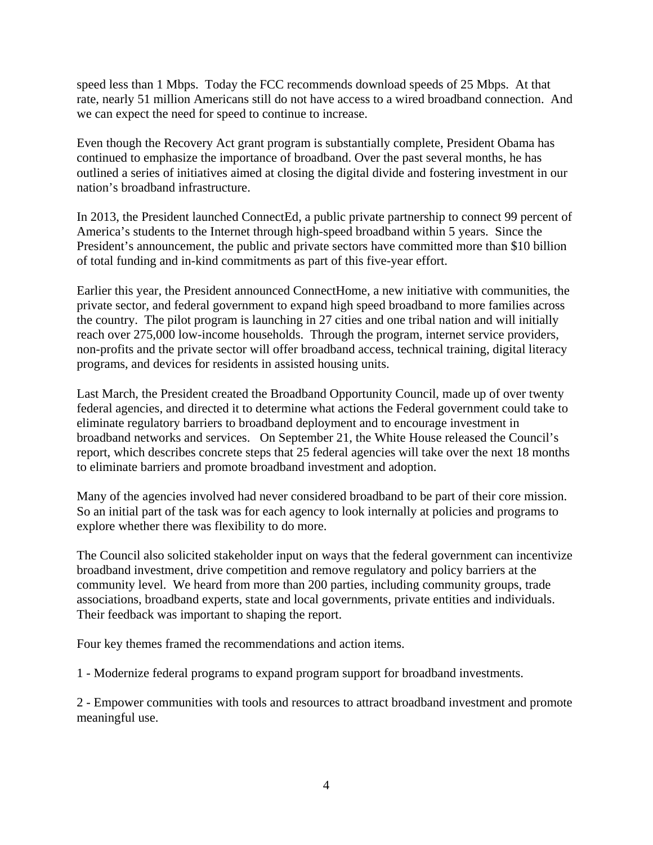speed less than 1 Mbps. Today the FCC recommends download speeds of 25 Mbps. At that rate, nearly 51 million Americans still do not have access to a wired broadband connection. And we can expect the need for speed to continue to increase.

Even though the Recovery Act grant program is substantially complete, President Obama has continued to emphasize the importance of broadband. Over the past several months, he has outlined a series of initiatives aimed at closing the digital divide and fostering investment in our nation's broadband infrastructure.

In 2013, the President launched ConnectEd, a public private partnership to connect 99 percent of America's students to the Internet through high-speed broadband within 5 years. Since the President's announcement, the public and private sectors have committed more than \$10 billion of total funding and in-kind commitments as part of this five-year effort.

Earlier this year, the President announced ConnectHome, a new initiative with communities, the private sector, and federal government to expand high speed broadband to more families across the country. The pilot program is launching in 27 cities and one tribal nation and will initially reach over 275,000 low-income households. Through the program, internet service providers, non-profits and the private sector will offer broadband access, technical training, digital literacy programs, and devices for residents in assisted housing units.

Last March, the President created the Broadband Opportunity Council, made up of over twenty federal agencies, and directed it to determine what actions the Federal government could take to eliminate regulatory barriers to broadband deployment and to encourage investment in broadband networks and services. On September 21, the White House released the Council's report, which describes concrete steps that 25 federal agencies will take over the next 18 months to eliminate barriers and promote broadband investment and adoption.

Many of the agencies involved had never considered broadband to be part of their core mission. So an initial part of the task was for each agency to look internally at policies and programs to explore whether there was flexibility to do more.

The Council also solicited stakeholder input on ways that the federal government can incentivize broadband investment, drive competition and remove regulatory and policy barriers at the community level. We heard from more than 200 parties, including community groups, trade associations, broadband experts, state and local governments, private entities and individuals. Their feedback was important to shaping the report.

Four key themes framed the recommendations and action items.

1 - Modernize federal programs to expand program support for broadband investments.

2 - Empower communities with tools and resources to attract broadband investment and promote meaningful use.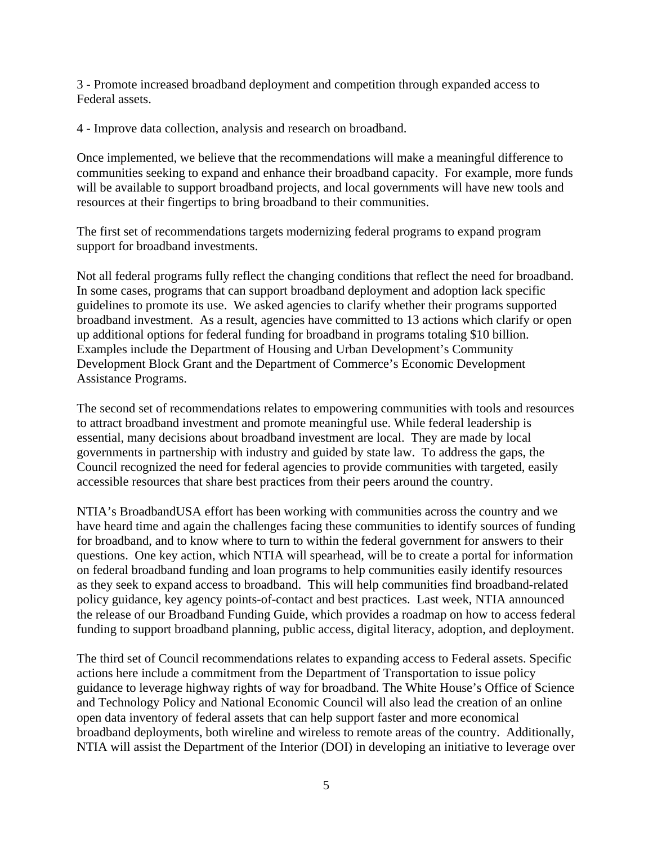3 - Promote increased broadband deployment and competition through expanded access to Federal assets.

4 - Improve data collection, analysis and research on broadband.

Once implemented, we believe that the recommendations will make a meaningful difference to communities seeking to expand and enhance their broadband capacity. For example, more funds will be available to support broadband projects, and local governments will have new tools and resources at their fingertips to bring broadband to their communities.

The first set of recommendations targets modernizing federal programs to expand program support for broadband investments.

Not all federal programs fully reflect the changing conditions that reflect the need for broadband. In some cases, programs that can support broadband deployment and adoption lack specific guidelines to promote its use. We asked agencies to clarify whether their programs supported broadband investment. As a result, agencies have committed to 13 actions which clarify or open up additional options for federal funding for broadband in programs totaling \$10 billion. Examples include the Department of Housing and Urban Development's Community Development Block Grant and the Department of Commerce's Economic Development Assistance Programs.

The second set of recommendations relates to empowering communities with tools and resources to attract broadband investment and promote meaningful use. While federal leadership is essential, many decisions about broadband investment are local. They are made by local governments in partnership with industry and guided by state law. To address the gaps, the Council recognized the need for federal agencies to provide communities with targeted, easily accessible resources that share best practices from their peers around the country.

NTIA's BroadbandUSA effort has been working with communities across the country and we have heard time and again the challenges facing these communities to identify sources of funding for broadband, and to know where to turn to within the federal government for answers to their questions. One key action, which NTIA will spearhead, will be to create a portal for information on federal broadband funding and loan programs to help communities easily identify resources as they seek to expand access to broadband. This will help communities find broadband-related policy guidance, key agency points-of-contact and best practices. Last week, NTIA announced the release of our Broadband Funding Guide, which provides a roadmap on how to access federal funding to support broadband planning, public access, digital literacy, adoption, and deployment.

The third set of Council recommendations relates to expanding access to Federal assets. Specific actions here include a commitment from the Department of Transportation to issue policy guidance to leverage highway rights of way for broadband. The White House's Office of Science and Technology Policy and National Economic Council will also lead the creation of an online open data inventory of federal assets that can help support faster and more economical broadband deployments, both wireline and wireless to remote areas of the country. Additionally, NTIA will assist the Department of the Interior (DOI) in developing an initiative to leverage over